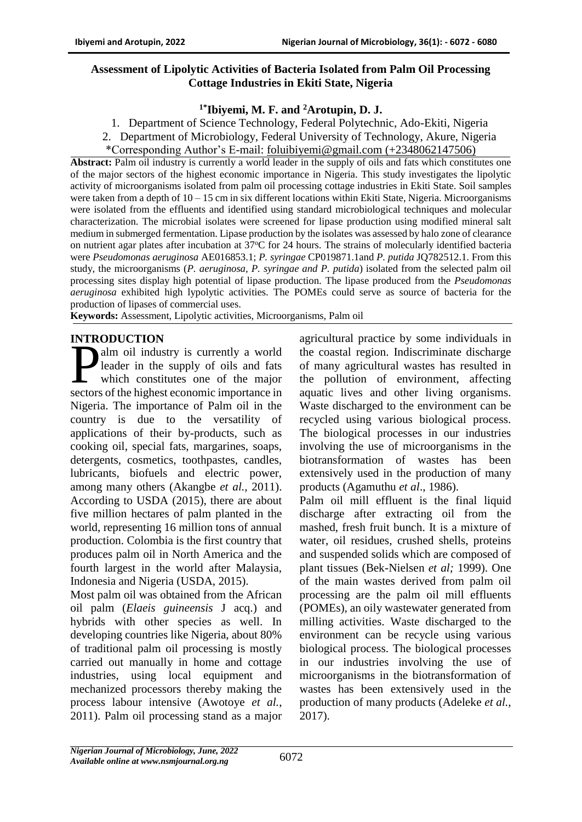### **Assessment of Lipolytic Activities of Bacteria Isolated from Palm Oil Processing Cottage Industries in Ekiti State, Nigeria**

## **1\*Ibiyemi, M. F. and <sup>2</sup>Arotupin, D. J.**

- 1. Department of Science Technology, Federal Polytechnic, Ado-Ekiti, Nigeria
- 2. Department of Microbiology, Federal University of Technology, Akure, Nigeria
- \*Corresponding Author's E-mail: [foluibiyemi@gmail.com](mailto:foluibiyemi@gmail.com) (+2348062147506)

**Abstract:** Palm oil industry is currently a world leader in the supply of oils and fats which constitutes one of the major sectors of the highest economic importance in Nigeria. This study investigates the lipolytic activity of microorganisms isolated from palm oil processing cottage industries in Ekiti State. Soil samples were taken from a depth of  $10 - 15$  cm in six different locations within Ekiti State, Nigeria. Microorganisms were isolated from the effluents and identified using standard microbiological techniques and molecular characterization. The microbial isolates were screened for lipase production using modified mineral salt medium in submerged fermentation. Lipase production by the isolates was assessed by halo zone of clearance on nutrient agar plates after incubation at  $37^{\circ}$ C for 24 hours. The strains of molecularly identified bacteria were *Pseudomonas aeruginosa* AE016853.1; *P. syringae* [CP019871.1a](https://www.ncbi.nlm.nih.gov/nucleotide/CP019871.1?report=genbank&log$=nucltop&blast_rank=2&RID=PF9T88EU015)nd *P. putida* JQ782512.1. From this study, the microorganisms (*P. aeruginosa, P. syringae and P. putida*) isolated from the selected palm oil processing sites display high potential of lipase production. The lipase produced from the *Pseudomonas aeruginosa* exhibited high lypolytic activities. The POMEs could serve as source of bacteria for the production of lipases of commercial uses.

**Keywords:** Assessment, Lipolytic activities, Microorganisms, Palm oil

## **INTRODUCTION**

alm oil industry is currently a world leader in the supply of oils and fats which constitutes one of the major alm oil industry is currently a world<br>leader in the supply of oils and fats<br>which constitutes one of the major<br>sectors of the highest economic importance in Nigeria. The importance of Palm oil in the country is due to the versatility of applications of their by-products, such as cooking oil, special fats, margarines, soaps, detergents, cosmetics, toothpastes, candles, lubricants, biofuels and electric power, among many others (Akangbe *et al.,* 2011). According to USDA (2015), there are about five million hectares of palm planted in the world, representing 16 million tons of annual production. Colombia is the first country that produces palm oil in North America and the fourth largest in the world after Malaysia, Indonesia and Nigeria (USDA, 2015).

Most palm oil was obtained from the African oil palm (*Elaeis guineensis* J acq.) and hybrids with other species as well. In developing countries like Nigeria, about 80% of traditional palm oil processing is mostly carried out manually in home and cottage industries, using local equipment and mechanized processors thereby making the process labour intensive (Awotoye *et al.*, 2011). Palm oil processing stand as a major

agricultural practice by some individuals in the coastal region. Indiscriminate discharge of many agricultural wastes has resulted in the pollution of environment, affecting aquatic lives and other living organisms. Waste discharged to the environment can be recycled using various biological process. The biological processes in our industries involving the use of microorganisms in the biotransformation of wastes has been extensively used in the production of many products (Agamuthu *et al*., 1986).

Palm oil mill effluent is the final liquid discharge after extracting oil from the mashed, fresh fruit bunch. It is a mixture of water, oil residues, crushed shells, proteins and suspended solids which are composed of plant tissues (Bek-Nielsen *et al;* 1999). One of the main wastes derived from palm oil processing are the palm oil mill effluents (POMEs), an oily wastewater generated from milling activities. Waste discharged to the environment can be recycle using various biological process. The biological processes in our industries involving the use of microorganisms in the biotransformation of wastes has been extensively used in the production of many products (Adeleke *et al.,* 2017).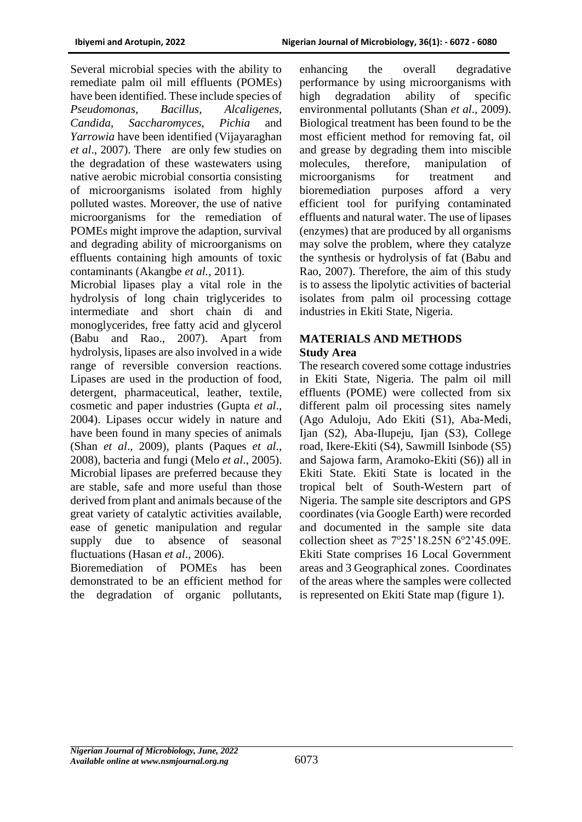Several microbial species with the ability to remediate palm oil mill effluents (POMEs) have been identified. These include species of *Pseudomonas, Bacillus, Alcaligenes, Candida*, *Saccharomyces*, *Pichia* and *Yarrowia* have been identified (Vijayaraghan *et al*., 2007). There are only few studies on the degradation of these wastewaters using native aerobic microbial consortia consisting of microorganisms isolated from highly polluted wastes. Moreover, the use of native microorganisms for the remediation of POMEs might improve the adaption, survival and degrading ability of microorganisms on effluents containing high amounts of toxic contaminants (Akangbe *et al.,* 2011).

Microbial lipases play a vital role in the hydrolysis of long chain triglycerides to intermediate and short chain di and monoglycerides, free fatty acid and glycerol [\(Babu and Rao., 2007\)](http://scialert.net/fulltext/?doi=jas.2013.5661.5671#124800_ja). Apart from hydrolysis, lipases are also involved in a wide range of reversible conversion reactions. Lipases are used in the production of food, detergent, pharmaceutical, leather, textile, cosmetic and paper industries [\(Gupta](http://scialert.net/fulltext/?doi=jas.2013.5661.5671#103830_ja) *et al*., [2004\)](http://scialert.net/fulltext/?doi=jas.2013.5661.5671#103830_ja). Lipases occur widely in nature and have been found in many species of animals (Shan *et al*[., 2009\)](http://scialert.net/fulltext/?doi=jas.2013.5661.5671#927739_ja), plants [\(Paques](http://scialert.net/fulltext/?doi=jas.2013.5661.5671#1095400_ja) *et al*., [2008\)](http://scialert.net/fulltext/?doi=jas.2013.5661.5671#1095400_ja), bacteria and fungi (Melo *et al*[., 2005\)](http://scialert.net/fulltext/?doi=jas.2013.5661.5671#204361_ja). Microbial lipases are preferred because they are stable, safe and more useful than those derived from plant and animals because of the great variety of catalytic activities available, ease of genetic manipulation and regular supply due to absence of seasonal fluctuations [\(Hasan](http://scialert.net/fulltext/?doi=jas.2013.5661.5671#41858_ja) *et al*., 2006).

Bioremediation of POMEs has been demonstrated to be an efficient method for the degradation of organic pollutants, enhancing the overall degradative performance by using microorganisms with high degradation ability of specific environmental pollutants (Shan *et al*[., 2009\)](http://scialert.net/fulltext/?doi=jas.2013.5661.5671#927739_ja). Biological treatment has been found to be the most efficient method for removing fat, oil and grease by degrading them into miscible molecules, therefore, manipulation of microorganisms for treatment and bioremediation purposes afford a very efficient tool for purifying contaminated effluents and natural water. The use of lipases (enzymes) that are produced by all organisms may solve the problem, where they catalyze the synthesis or hydrolysis of fat [\(Babu and](http://scialert.net/fulltext/?doi=jas.2013.5661.5671#124800_ja)  [Rao, 2007\)](http://scialert.net/fulltext/?doi=jas.2013.5661.5671#124800_ja). Therefore, the aim of this study is to assess the lipolytic activities of bacterial isolates from palm oil processing cottage industries in Ekiti State, Nigeria.

#### **MATERIALS AND METHODS Study Area**

The research covered some cottage industries in Ekiti State, Nigeria. The palm oil mill effluents (POME) were collected from six different palm oil processing sites namely (Ago Aduloju, Ado Ekiti (S1), Aba-Medi, Ijan (S2), Aba-Ilupeju, Ijan (S3), College road, Ikere-Ekiti (S4), Sawmill Isinbode (S5) and Sajowa farm, Aramoko-Ekiti (S6)) all in Ekiti State. Ekiti State is located in the tropical belt of South-Western part of Nigeria. The sample site descriptors and GPS coordinates (via Google Earth) were recorded and documented in the sample site data collection sheet as  $7^{\circ}25'18.25N$  6 $^{\circ}2'45.09E$ . Ekiti State comprises 16 Local Government areas and 3 Geographical zones. Coordinates of the areas where the samples were collected is represented on Ekiti State map (figure 1).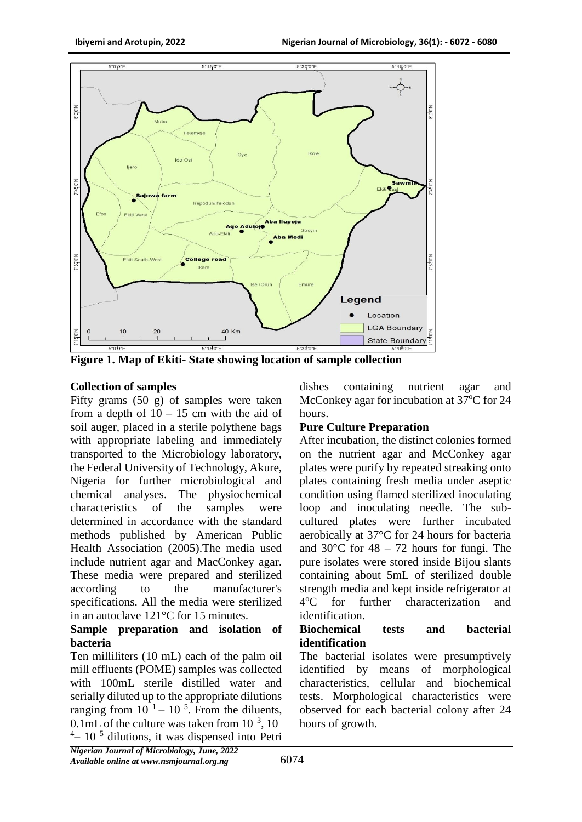

**Figure 1. Map of Ekiti- State showing location of sample collection**

### **Collection of samples**

Fifty grams (50 g) of samples were taken from a depth of  $10 - 15$  cm with the aid of soil auger, placed in a sterile polythene bags with appropriate labeling and immediately transported to the Microbiology laboratory, the Federal University of Technology, Akure, Nigeria for further microbiological and chemical analyses. The physiochemical characteristics of the samples were determined in accordance with the standard methods published by American Public Health Association (2005).The media used include nutrient agar and MacConkey agar. These media were prepared and sterilized according to the manufacturer's specifications. All the media were sterilized in an autoclave 121°C for 15 minutes.

### **Sample preparation and isolation of bacteria**

Ten milliliters (10 mL) each of the palm oil mill effluents (POME) samples was collected with 100mL sterile distilled water and serially diluted up to the appropriate dilutions ranging from  $10^{-1} - 10^{-5}$ . From the diluents, 0.1mL of the culture was taken from  $10^{-3}$ ,  $10^{-7}$  $4 - 10^{-5}$  dilutions, it was dispensed into Petri dishes containing nutrient agar and McConkey agar for incubation at 37<sup>o</sup>C for 24 hours.

# **Pure Culture Preparation**

After incubation, the distinct colonies formed on the nutrient agar and McConkey agar plates were purify by repeated streaking onto plates containing fresh media under aseptic condition using flamed sterilized inoculating loop and inoculating needle. The subcultured plates were further incubated aerobically at 37°C for 24 hours for bacteria and  $30^{\circ}$ C for  $48 - 72$  hours for fungi. The pure isolates were stored inside Bijou slants containing about 5mL of sterilized double strength media and kept inside refrigerator at  $4^{\circ}C$ for further characterization and identification.

#### **Biochemical tests and bacterial identification**

The bacterial isolates were presumptively identified by means of morphological characteristics, cellular and biochemical tests. Morphological characteristics were observed for each bacterial colony after 24 hours of growth.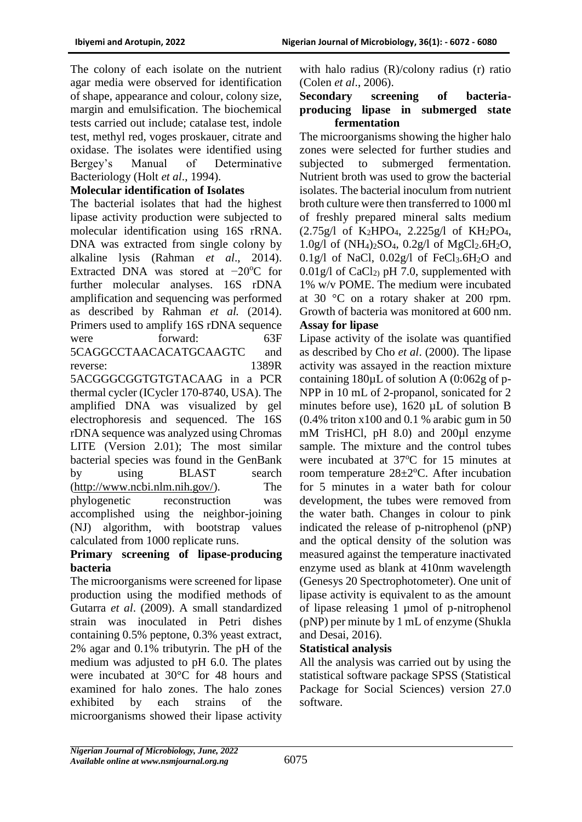The colony of each isolate on the nutrient agar media were observed for identification of shape, appearance and colour, colony size, margin and emulsification. The biochemical tests carried out include; catalase test, indole test, methyl red, voges proskauer, citrate and oxidase. The isolates were identified using Bergey's Manual of Determinative Bacteriology (Holt *et al*., 1994).

### **Molecular identification of Isolates**

The bacterial isolates that had the highest lipase activity production were subjected to molecular identification using 16S rRNA. DNA was extracted from single colony by alkaline lysis (Rahman *et al*., 2014). Extracted DNA was stored at −20°C for further molecular analyses. 16S rDNA amplification and sequencing was performed as described by Rahman *et al.* (2014). Primers used to amplify 16S rDNA sequence were forward: 63F 5CAGGCCTAACACATGCAAGTC and reverse: 1389R 5ACGGGCGGTGTGTACAAG in a PCR thermal cycler (ICycler 170-8740, USA). The amplified DNA was visualized by gel electrophoresis and sequenced. The 16S rDNA sequence was analyzed using Chromas LITE (Version 2.01); The most similar bacterial species was found in the GenBank by using BLAST search [\(http://www.ncbi.nlm.nih.gov/\)](http://www.ncbi.nlm.nih.gov/). The phylogenetic reconstruction was accomplished using the neighbor-joining (NJ) algorithm, with bootstrap values calculated from 1000 replicate runs.

### **Primary screening of lipase-producing bacteria**

The microorganisms were screened for lipase production using the modified methods of Gutarra *et al*. (2009). A small standardized strain was inoculated in Petri dishes containing 0.5% peptone, 0.3% yeast extract, 2% agar and 0.1% tributyrin. The pH of the medium was adjusted to pH 6.0. The plates were incubated at 30°C for 48 hours and examined for halo zones. The halo zones exhibited by each strains of the microorganisms showed their lipase activity

with halo radius (R)/colony radius (r) ratio (Colen *et al*., 2006).

#### **Secondary screening of bacteriaproducing lipase in submerged state fermentation**

The microorganisms showing the higher halo zones were selected for further studies and subjected to submerged fermentation. Nutrient broth was used to grow the bacterial isolates. The bacterial inoculum from nutrient broth culture were then transferred to 1000 ml of freshly prepared mineral salts medium  $(2.75g)$  of K<sub>2</sub>HPO<sub>4</sub>, 2.225g/l of KH<sub>2</sub>PO<sub>4</sub>,  $1.0g/1$  of (NH<sub>4</sub>)<sub>2</sub>SO<sub>4</sub>,  $0.2g/1$  of MgCl<sub>2</sub>.6H<sub>2</sub>O, 0.1g/l of NaCl,  $0.02g/$ l of FeCl<sub>3</sub>.6H<sub>2</sub>O and  $0.01$ g/l of CaCl<sub>2</sub>) pH 7.0, supplemented with 1% w/v POME. The medium were incubated at 30 °C on a rotary shaker at 200 rpm. Growth of bacteria was monitored at 600 nm.

## **Assay for lipase**

Lipase activity of the isolate was quantified as described by Cho *et al*. (2000). The lipase activity was assayed in the reaction mixture containing 180µL of solution A (0:062g of p-NPP in 10 mL of 2-propanol, sonicated for 2 minutes before use), 1620 µL of solution B (0.4% triton x100 and 0.1 % arabic gum in 50 mM TrisHCl, pH 8.0) and 200µl enzyme sample. The mixture and the control tubes were incubated at 37<sup>o</sup>C for 15 minutes at room temperature  $28 \pm 2$ <sup>o</sup>C. After incubation for 5 minutes in a water bath for colour development, the tubes were removed from the water bath. Changes in colour to pink indicated the release of p-nitrophenol (pNP) and the optical density of the solution was measured against the temperature inactivated enzyme used as blank at 410nm wavelength (Genesys 20 Spectrophotometer). One unit of lipase activity is equivalent to as the amount of lipase releasing 1 µmol of p-nitrophenol (pNP) per minute by 1 mL of enzyme (Shukla and Desai, 2016).

### **Statistical analysis**

All the analysis was carried out by using the statistical software package SPSS (Statistical Package for Social Sciences) version 27.0 software.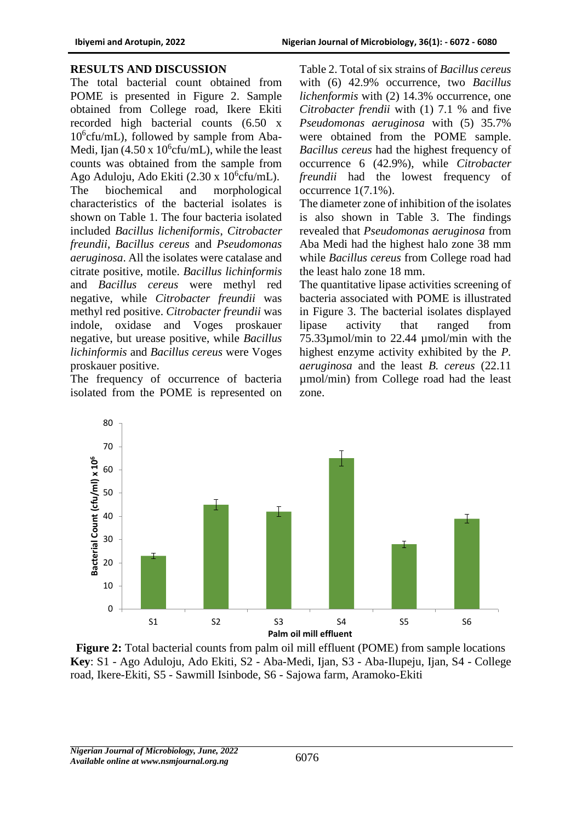#### **RESULTS AND DISCUSSION**

The total bacterial count obtained from POME is presented in Figure 2. Sample obtained from College road, Ikere Ekiti recorded high bacterial counts (6.50 x 10<sup>6</sup> cfu/mL), followed by sample from Aba-Medi, Ijan  $(4.50 \times 10^{6} \text{c} \text{fu/mL})$ , while the least counts was obtained from the sample from Ago Aduloju, Ado Ekiti  $(2.30 \times 10^{6} \text{cfu/mL})$ . The biochemical and morphological characteristics of the bacterial isolates is shown on Table 1. The four bacteria isolated included *Bacillus licheniformis*, *Citrobacter freundii*, *Bacillus cereus* and *Pseudomonas aeruginosa*. All the isolates were catalase and citrate positive, motile. *Bacillus lichinformis*  and *Bacillus cereus* were methyl red negative, while *Citrobacter freundii* was methyl red positive. *Citrobacter freundii* was indole, oxidase and Voges proskauer negative, but urease positive, while *Bacillus lichinformis* and *Bacillus cereus* were Voges proskauer positive.

The frequency of occurrence of bacteria isolated from the POME is represented on

Table 2. Total of six strains of *Bacillus cereus* with (6) 42.9% occurrence, two *Bacillus lichenformis* with (2) 14.3% occurrence, one *Citrobacter frendii* with (1) 7.1 % and five *Pseudomonas aeruginosa* with (5) 35.7% were obtained from the POME sample. *Bacillus cereus* had the highest frequency of occurrence 6 (42.9%), while *Citrobacter freundii* had the lowest frequency of occurrence 1(7.1%).

The diameter zone of inhibition of the isolates is also shown in Table 3. The findings revealed that *Pseudomonas aeruginosa* from Aba Medi had the highest halo zone 38 mm while *Bacillus cereus* from College road had the least halo zone 18 mm.

The quantitative lipase activities screening of bacteria associated with POME is illustrated in Figure 3. The bacterial isolates displayed lipase activity that ranged from 75.33µmol/min to 22.44 µmol/min with the highest enzyme activity exhibited by the *P. aeruginosa* and the least *B. cereus* (22.11 µmol/min) from College road had the least zone.



**Figure 2:** Total bacterial counts from palm oil mill effluent (POME) from sample locations **Key**: S1 - Ago Aduloju, Ado Ekiti, S2 - Aba-Medi, Ijan, S3 - Aba-Ilupeju, Ijan, S4 - College road, Ikere-Ekiti, S5 - Sawmill Isinbode, S6 - Sajowa farm, Aramoko-Ekiti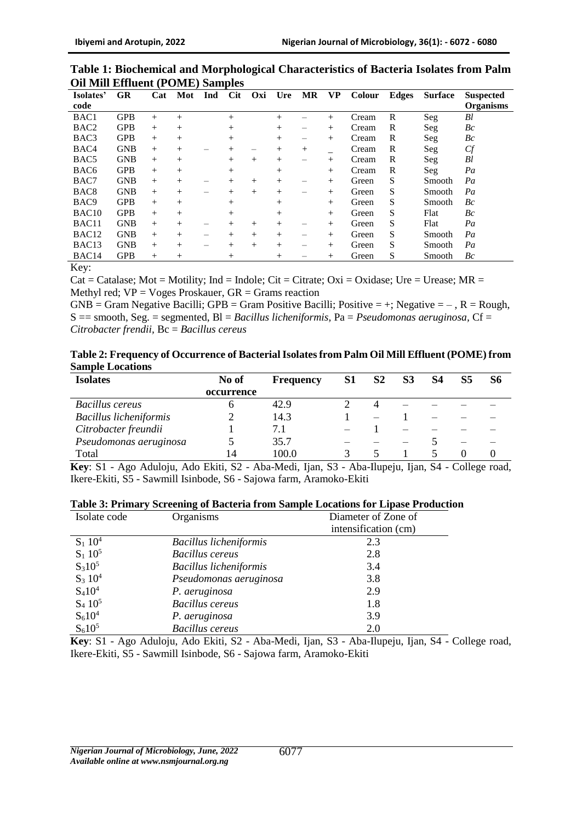| Table 1: Biochemical and Morphological Characteristics of Bacteria Isolates from Palm |  |  |  |
|---------------------------------------------------------------------------------------|--|--|--|
| <b>Oil Mill Effluent (POME) Samples</b>                                               |  |  |  |

| Isolates'         | <b>GR</b>  | Cat | Mot    | Ind | <b>Cit</b>     | Oxi    | Ure    | <b>MR</b> | <b>VP</b> | Colour | <b>Edges</b> | <b>Surface</b> | <b>Suspected</b> |
|-------------------|------------|-----|--------|-----|----------------|--------|--------|-----------|-----------|--------|--------------|----------------|------------------|
| code              |            |     |        |     |                |        |        |           |           |        |              |                | <b>Organisms</b> |
| BAC1              | <b>GPB</b> | $+$ | $^{+}$ |     | $^{+}$         |        | $^{+}$ |           | $^{+}$    | Cream  | R            | Seg            | Bl               |
| BAC <sub>2</sub>  | <b>GPB</b> | $+$ | $+$    |     | $^{+}$         |        | $^{+}$ |           | $+$       | Cream  | R            | Seg            | $_{Bc}$          |
| BAC3              | <b>GPB</b> | $+$ | $^{+}$ |     | $^{+}$         |        | $+$    | -         | $^{+}$    | Cream  | R            | Seg            | Bc               |
| BAC4              | <b>GNB</b> | $+$ | $^{+}$ |     | $\overline{+}$ |        | $^{+}$ | $+$       |           | Cream  | R            | $\text{Seg}$   | $C\!f$           |
| BAC <sub>5</sub>  | <b>GNB</b> | $+$ | $+$    |     | $^{+}$         | $^{+}$ | $^{+}$ | -         | $+$       | Cream  | R            | Seg            | Bl               |
| BAC <sub>6</sub>  | <b>GPB</b> | $+$ | $+$    |     | $^{+}$         |        | $^{+}$ |           | $^{+}$    | Cream  | R            | Seg            | Pa               |
| BAC7              | <b>GNB</b> | $+$ | $^{+}$ |     | $\overline{+}$ | $^{+}$ | $^{+}$ | –         | $^{+}$    | Green  | S            | Smooth         | Pa               |
| BAC <sub>8</sub>  | <b>GNB</b> | $+$ | $+$    |     | $^{+}$         | $+$    | $^{+}$ |           | $+$       | Green  | S            | Smooth         | Pa               |
| BAC <sub>9</sub>  | <b>GPB</b> | $+$ | $^{+}$ |     | $^{+}$         |        | $^{+}$ |           | $^{+}$    | Green  | S            | Smooth         | Bc               |
| BAC <sub>10</sub> | <b>GPB</b> | $+$ | $^{+}$ |     | $^{+}$         |        | $^{+}$ |           | $+$       | Green  | S            | Flat           | Bc               |
| BAC11             | <b>GNB</b> | $+$ | $^{+}$ |     | $\overline{+}$ | $^{+}$ | $^{+}$ |           | $^{+}$    | Green  | S            | Flat           | Pa               |
| BAC <sub>12</sub> | <b>GNB</b> | $+$ | $+$    |     | $^{+}$         | $^{+}$ | $^{+}$ | -         | $^{+}$    | Green  | S            | Smooth         | Pa               |
| BAC <sub>13</sub> | <b>GNB</b> | $+$ | $^{+}$ |     | $\overline{+}$ | $^{+}$ | $^{+}$ | –         | $+$       | Green  | S            | Smooth         | Pa               |
| BAC <sub>14</sub> | <b>GPB</b> | $+$ | $^{+}$ |     | $^+$           |        | $^{+}$ |           | $^{+}$    | Green  | S            | Smooth         | Bc               |

Key:

Cat = Catalase; Mot = Motility; Ind = Indole; Cit = Citrate; Oxi = Oxidase; Ure = Urease; MR = Methyl red;  $VP = Voges Proskauer$ ,  $GR = \text{Grams reaction}$ 

 $GNB = Gram Negative Bacilli$ ;  $GPB = Gram Positive Bacilli$ ; Positive  $Bacilli$ ; Positive  $= +$ ; Negative  $= -$ ,  $R = Rough$ , S == smooth, Seg. = segmented, Bl = *Bacillus licheniformis,* Pa = *Pseudomonas aeruginosa,* Cf = *Citrobacter frendii,* Bc = *Bacillus cereus* 

| Table 2: Frequency of Occurrence of Bacterial Isolates from Palm Oil Mill Effluent (POME) from |  |
|------------------------------------------------------------------------------------------------|--|
| <b>Sample Locations</b>                                                                        |  |

| <b>Isolates</b>               | No of      | <b>Frequency</b> | S1 | S <sub>2</sub> | S <sub>3</sub> | S4 | S5 | S6 |
|-------------------------------|------------|------------------|----|----------------|----------------|----|----|----|
|                               | occurrence |                  |    |                |                |    |    |    |
| <b>Bacillus cereus</b>        |            | 42.9             |    |                |                |    |    |    |
| <b>Bacillus licheniformis</b> |            | 14.3             |    |                |                |    |    |    |
| Citrobacter freundii          |            | 7.1              |    |                |                |    |    |    |
| Pseudomonas aeruginosa        |            | 35.7             |    |                |                |    |    |    |
| Total                         |            | 100.0            |    |                |                |    |    |    |

**Key**: S1 - Ago Aduloju, Ado Ekiti, S2 - Aba-Medi, Ijan, S3 - Aba-Ilupeju, Ijan, S4 - College road, Ikere-Ekiti, S5 - Sawmill Isinbode, S6 - Sajowa farm, Aramoko-Ekiti

| Isolate code          | Organisms                     | Diameter of Zone of  |
|-----------------------|-------------------------------|----------------------|
|                       |                               | intensification (cm) |
| $S_1 10^4$            | <b>Bacillus licheniformis</b> | 2.3                  |
| $S_1$ 10 <sup>5</sup> | <b>Bacillus cereus</b>        | 2.8                  |
| $S_310^5$             | <b>Bacillus licheniformis</b> | 3.4                  |
| $S_3 10^4$            | Pseudomonas aeruginosa        | 3.8                  |
| $S_4 10^4$            | P. aeruginosa                 | 2.9                  |
| $S_4 10^5$            | <b>Bacillus</b> cereus        | 1.8                  |
| $S_6 10^4$            | P. aeruginosa                 | 3.9                  |
| $S_610^5$             | <b>Bacillus</b> cereus        | 2.0                  |

**Key**: S1 - Ago Aduloju, Ado Ekiti, S2 - Aba-Medi, Ijan, S3 - Aba-Ilupeju, Ijan, S4 - College road, Ikere-Ekiti, S5 - Sawmill Isinbode, S6 - Sajowa farm, Aramoko-Ekiti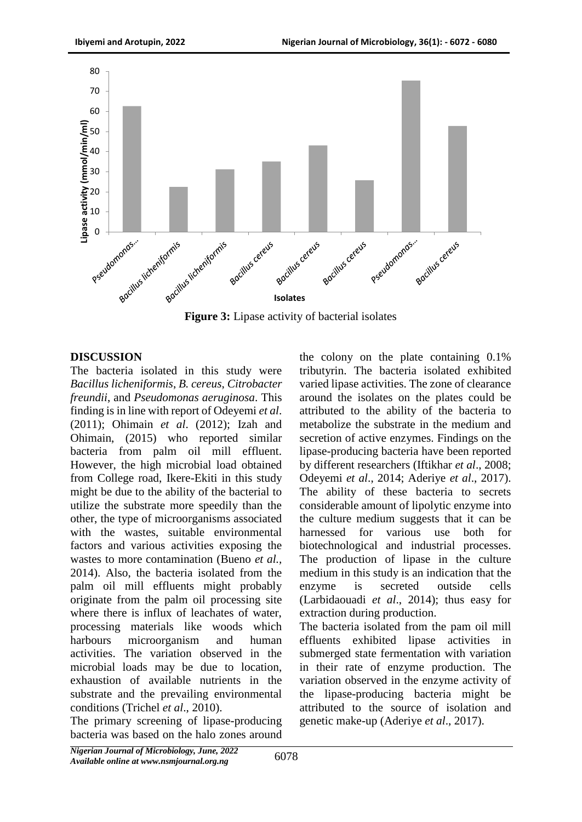

# **DISCUSSION**

The bacteria isolated in this study were *Bacillus licheniformis*, *B. cereus*, *Citrobacter freundii*, and *Pseudomonas aeruginosa*. This finding is in line with report of Odeyemi *et al*. (2011); Ohimain *et al*. (2012); Izah and Ohimain, (2015) who reported similar bacteria from palm oil mill effluent. However, the high microbial load obtained from College road, Ikere-Ekiti in this study might be due to the ability of the bacterial to utilize the substrate more speedily than the other, the type of microorganisms associated with the wastes, suitable environmental factors and various activities exposing the wastes to more contamination (Bueno *et al.,*  2014). Also, the bacteria isolated from the palm oil mill effluents might probably originate from the palm oil processing site where there is influx of leachates of water, processing materials like woods which harbours microorganism and human activities. The variation observed in the microbial loads may be due to location, exhaustion of available nutrients in the substrate and the prevailing environmental conditions (Trichel *et al*., 2010).

The primary screening of lipase-producing bacteria was based on the halo zones around the colony on the plate containing 0.1% tributyrin. The bacteria isolated exhibited varied lipase activities. The zone of clearance around the isolates on the plates could be attributed to the ability of the bacteria to metabolize the substrate in the medium and secretion of active enzymes. Findings on the lipase-producing bacteria have been reported by different researchers (Iftikhar *et al*., 2008; Odeyemi *et al*., 2014; Aderiye *et al*., 2017). The ability of these bacteria to secrets considerable amount of lipolytic enzyme into the culture medium suggests that it can be harnessed for various use both for biotechnological and industrial processes. The production of lipase in the culture medium in this study is an indication that the enzyme is secreted outside cells (Larbidaouadi *et al*., 2014); thus easy for extraction during production.

The bacteria isolated from the pam oil mill effluents exhibited lipase activities in submerged state fermentation with variation in their rate of enzyme production. The variation observed in the enzyme activity of the lipase-producing bacteria might be attributed to the source of isolation and genetic make-up (Aderiye *et al*., 2017).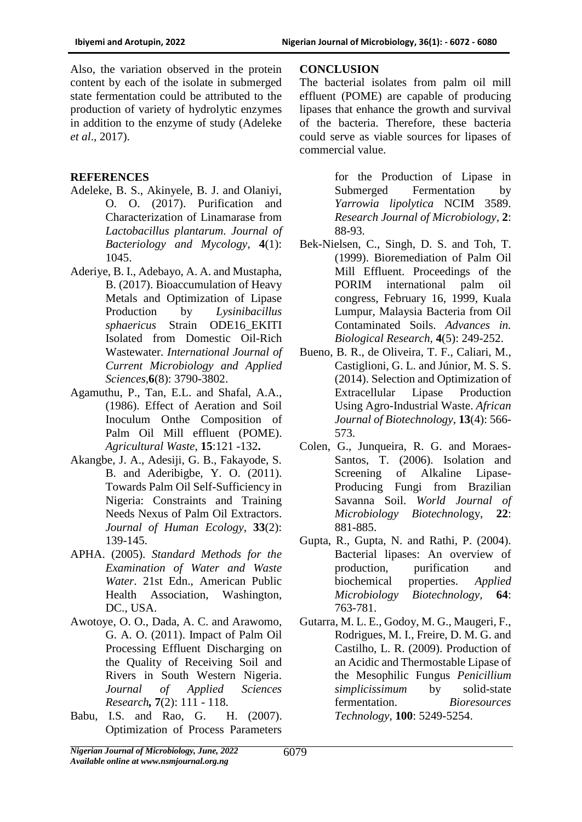Also, the variation observed in the protein content by each of the isolate in submerged state fermentation could be attributed to the production of variety of hydrolytic enzymes in addition to the enzyme of study (Adeleke *et al*., 2017).

## **REFERENCES**

- Adeleke, B. S., Akinyele, B. J. and Olaniyi, O. O. (2017). Purification and Characterization of Linamarase from *Lactobacillus plantarum*. *Journal of Bacteriology and Mycology*, **4**(1): 1045.
- Aderiye, B. I., Adebayo, A. A. and Mustapha, B. (2017). Bioaccumulation of Heavy Metals and Optimization of Lipase Production by *Lysinibacillus sphaericus* Strain ODE16\_EKITI Isolated from Domestic Oil-Rich Wastewater. *International Journal of Current Microbiology and Applied Sciences,***6**(8): 3790-3802.
- Agamuthu, P., Tan, E.L. and Shafal, A.A., (1986). Effect of Aeration and Soil Inoculum Onthe Composition of Palm Oil Mill effluent (POME). *Agricultural Waste*, **15**:121 -132**.**
- Akangbe, J. A., Adesiji, G. B., Fakayode, S. B. and Aderibigbe, Y. O. (2011). Towards Palm Oil Self-Sufficiency in Nigeria: Constraints and Training Needs Nexus of Palm Oil Extractors. *Journal of Human Ecology,* **33**(2): 139-145.
- APHA. (2005). *Standard Methods for the Examination of Water and Waste Water*. 21st Edn., American Public Health Association, Washington, DC., USA.
- Awotoye, O. O., Dada, A. C. and Arawomo, G. A. O. (2011). Impact of Palm Oil Processing Effluent Discharging on the Quality of Receiving Soil and Rivers in South Western Nigeria. *Journal of Applied Sciences Research,* **7**(2): 111 - 118.
- Babu, I.S. and Rao, G. H. (2007). Optimization of Process Parameters

### **CONCLUSION**

The bacterial isolates from palm oil mill effluent (POME) are capable of producing lipases that enhance the growth and survival of the bacteria. Therefore, these bacteria could serve as viable sources for lipases of commercial value.

> for the Production of Lipase in Submerged Fermentation by *Yarrowia lipolytica* NCIM 3589. *Research Journal of Microbiology*, **2**: 88-93.

- Bek-Nielsen, C., Singh, D. S. and Toh, T. (1999). Bioremediation of Palm Oil Mill Effluent. Proceedings of the PORIM international palm oil congress, February 16, 1999, Kuala Lumpur, Malaysia Bacteria from Oil Contaminated Soils. *Advances in. Biological Research,* **4**(5): 249-252.
- Bueno, B. R., de Oliveira, T. F., Caliari, M., Castiglioni, G. L. and Júnior, M. S. S. (2014). Selection and Optimization of Extracellular Lipase Production Using Agro-Industrial Waste. *African Journal of Biotechnology*, **13**(4): 566- 573.
- Colen, G., Junqueira, R. G. and Moraes-Santos, T. (2006). Isolation and Screening of Alkaline Lipase-Producing Fungi from Brazilian Savanna Soil. *World Journal of Microbiology Biotechnol*ogy, **22**: 881-885.
- Gupta, R., Gupta, N. and Rathi, P. (2004). Bacterial lipases: An overview of production, purification and biochemical properties. *Applied Microbiology Biotechnology,* **64**: 763-781.
- Gutarra, M. L. E., Godoy, M. G., Maugeri, F., Rodrigues, M. I., Freire, D. M. G. and Castilho, L. R. (2009). Production of an Acidic and Thermostable Lipase of the Mesophilic Fungus *Penicillium simplicissimum* by solid-state fermentation. *Bioresources Technology,* **100**: 5249-5254.